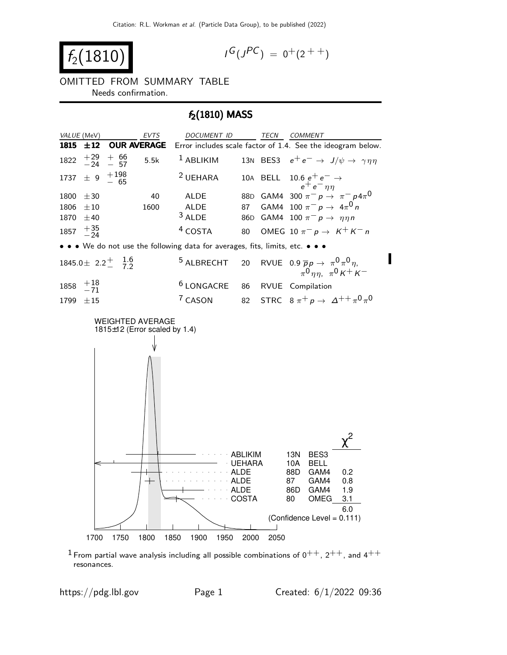$$
f_2(1810) \qquad \qquad \blacksquare
$$

$$
I^G(J^{PC}) = 0^+(2^{++})
$$

OMITTED FROM SUMMARY TABLE Needs confirmation.

### $f_2(1810)$  MASS



<sup>1</sup> From partial wave analysis including all possible combinations of  $0^{++}$ ,  $2^{++}$ , and  $4^{++}$ resonances.

https://pdg.lbl.gov Page 1 Created:  $6/1/2022$  09:36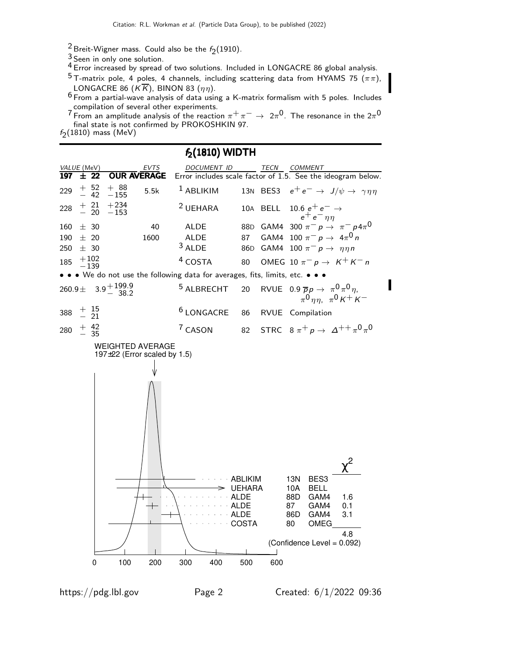- $\frac{2}{3}$ Breit-Wigner mass. Could also be the  $f_2(1910)$ .
- 3 Seen in only one solution.
- 4 Error increased by spread of two solutions. Included in LONGACRE 86 global analysis.
- $^5$ T-matrix pole, 4 poles, 4 channels, including scattering data from HYAMS 75 ( $\pi\pi$ ), LONGACRE 86 ( $K\overline{K}$ ), BINON 83 ( $\eta\eta$ ).
- $6$  From a partial-wave analysis of data using a K-matrix formalism with 5 poles. Includes compilation of several other experiments.
- $7$  From an amplitude analysis of the reaction  $\pi^+ \pi^- \to 2\pi^0$ . The resonance in the  $2\pi^0$ final state is not confirmed by PROKOSHKIN 97.
- $f_2(1810)$  mass (MeV)

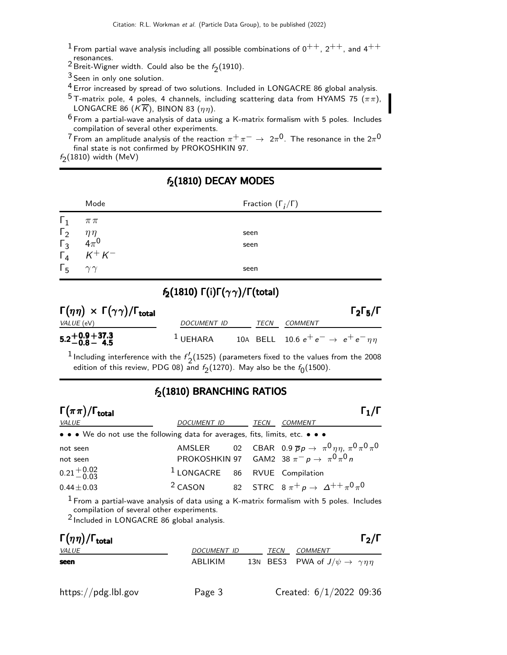- <sup>1</sup> From partial wave analysis including all possible combinations of  $0^{++}$ ,  $2^{++}$ , and  $4^{++}$ <br>resonances.
- resonances.<br><sup>2</sup> Breit-Wigner width. Could also be the  $f_2(1910)$ .
- 3 Seen in only one solution.

4 Error increased by spread of two solutions. Included in LONGACRE 86 global analysis.

<sup>5</sup> T-matrix pole, 4 poles, 4 channels, including scattering data from HYAMS 75 ( $\pi\pi$ ), LONGACRE 86 ( $K\overline{K}$ ), BINON 83 ( $\eta\eta$ ).

 $^6$  From a partial-wave analysis of data using a K-matrix formalism with 5 poles. Includes compilation of several other experiments.

 $7$  From an amplitude analysis of the reaction  $\pi^+\pi^-\to 2\pi^0$ . The resonance in the  $2\pi^0$ final state is not confirmed by PROKOSHKIN 97.

 $f_2(1810)$  width (MeV)

### $f_2(1810)$  DECAY MODES

|                             | Mode                                    | Fraction $(\Gamma_i/\Gamma)$ |
|-----------------------------|-----------------------------------------|------------------------------|
| $\Gamma_1$                  | $\pi\,\pi$                              |                              |
|                             |                                         | seen                         |
|                             | $\eta \eta \over 4 \pi^0 \over K^+ K^-$ | seen                         |
| $\frac{\Gamma_2}{\Gamma_3}$ |                                         |                              |
| $\Gamma_5$                  | $\gamma\gamma$                          | seen                         |

# $f_2(1810)$  Γ(i)Γ( $\gamma\gamma$ )/Γ(total)

| $\Gamma(\eta\eta) \times \Gamma(\gamma\gamma) / \Gamma_{\text{total}}$ |                      |             |                                                   | $\Gamma_2\Gamma_5/\Gamma$ |
|------------------------------------------------------------------------|----------------------|-------------|---------------------------------------------------|---------------------------|
| <i>VALUE</i> (eV)                                                      | DOCUMENT ID          | <b>TFCN</b> | <i>COMMENT</i>                                    |                           |
| $5.2 + 0.9 + 37.3$<br>$-0.8 - 4.5$                                     | $\frac{1}{2}$ UEHARA |             | 10A BELL 10.6 $e^+e^- \rightarrow e^+e^-\eta\eta$ |                           |

 $1$  Including interference with the  $f'$ .  $\frac{2}{2}$ (1525) (parameters fixed to the values from the 2008 edition of this review, PDG 08) and  $f_2(1270)$ . May also be the  $f_0(1500)$ .

### $f<sub>2</sub>(1810)$  BRANCHING RATIOS

| $\Gamma(\pi\pi)/\Gamma_{\rm total}$                                           |                                           |      | $\Gamma_1/\Gamma$                                                            |
|-------------------------------------------------------------------------------|-------------------------------------------|------|------------------------------------------------------------------------------|
| VALUE                                                                         | DOCUMENT ID                               | TECN | <b>COMMENT</b>                                                               |
| • • • We do not use the following data for averages, fits, limits, etc. • • • |                                           |      |                                                                              |
| not seen                                                                      |                                           |      | AMSLER 02 CBAR 0.9 $\overline{p}p \to \pi^0 \eta \eta$ , $\pi^0 \pi^0 \pi^0$ |
| not seen                                                                      |                                           |      | PROKOSHKIN 97 GAM2 38 $\pi^{-} p \rightarrow \pi^0 \pi^0 n$                  |
| $0.21 + 0.02$<br>-0.03                                                        | <sup>1</sup> LONGACRE 86 RVUE Compilation |      |                                                                              |
| $0.44 \pm 0.03$                                                               |                                           |      | <sup>2</sup> CASON 82 STRC $8 \pi^+ p \rightarrow \Delta^{++} \pi^0 \pi^0$   |

 $1$  From a partial-wave analysis of data using a K-matrix formalism with 5 poles. Includes compilation of several other experiments.

2 Included in LONGACRE 86 global analysis.

| $\Gamma(\eta\eta)/\Gamma_{\rm total}$ |             |      |                                                       | $\Gamma_2/\Gamma$ |
|---------------------------------------|-------------|------|-------------------------------------------------------|-------------------|
| <i>VALUE</i>                          | DOCUMENT ID | TECN | <i>COMMENT</i>                                        |                   |
| seen                                  | ABLIKIM     |      | 13N BES3 PWA of $J/\psi \rightarrow \gamma \eta \eta$ |                   |
|                                       |             |      |                                                       |                   |